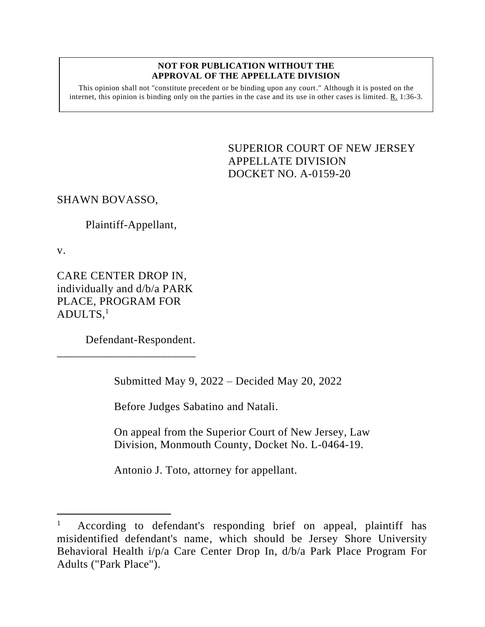## **NOT FOR PUBLICATION WITHOUT THE APPROVAL OF THE APPELLATE DIVISION**

This opinion shall not "constitute precedent or be binding upon any court." Although it is posted on the internet, this opinion is binding only on the parties in the case and its use in other cases is limited.  $R_1$  1:36-3.

> SUPERIOR COURT OF NEW JERSEY APPELLATE DIVISION DOCKET NO. A-0159-20

SHAWN BOVASSO,

Plaintiff-Appellant,

v.

CARE CENTER DROP IN, individually and d/b/a PARK PLACE, PROGRAM FOR ADULTS, 1

\_\_\_\_\_\_\_\_\_\_\_\_\_\_\_\_\_\_\_\_\_\_\_\_

Defendant-Respondent.

Submitted May 9, 2022 – Decided May 20, 2022

Before Judges Sabatino and Natali.

On appeal from the Superior Court of New Jersey, Law Division, Monmouth County, Docket No. L-0464-19.

Antonio J. Toto, attorney for appellant.

<sup>1</sup> According to defendant's responding brief on appeal, plaintiff has misidentified defendant's name, which should be Jersey Shore University Behavioral Health i/p/a Care Center Drop In, d/b/a Park Place Program For Adults ("Park Place").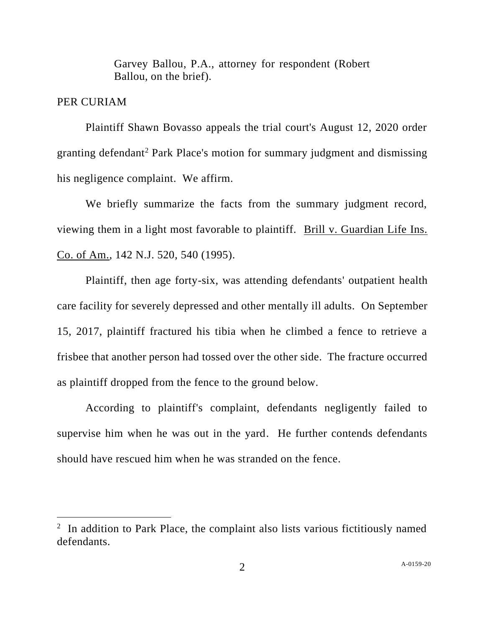Garvey Ballou, P.A., attorney for respondent (Robert Ballou, on the brief).

## PER CURIAM

Plaintiff Shawn Bovasso appeals the trial court's August 12, 2020 order granting defendant<sup>2</sup> Park Place's motion for summary judgment and dismissing his negligence complaint. We affirm.

We briefly summarize the facts from the summary judgment record, viewing them in a light most favorable to plaintiff. Brill v. Guardian Life Ins. Co. of Am., 142 N.J. 520, 540 (1995).

Plaintiff, then age forty-six, was attending defendants' outpatient health care facility for severely depressed and other mentally ill adults. On September 15, 2017, plaintiff fractured his tibia when he climbed a fence to retrieve a frisbee that another person had tossed over the other side. The fracture occurred as plaintiff dropped from the fence to the ground below.

According to plaintiff's complaint, defendants negligently failed to supervise him when he was out in the yard. He further contends defendants should have rescued him when he was stranded on the fence.

 $2$  In addition to Park Place, the complaint also lists various fictitiously named defendants.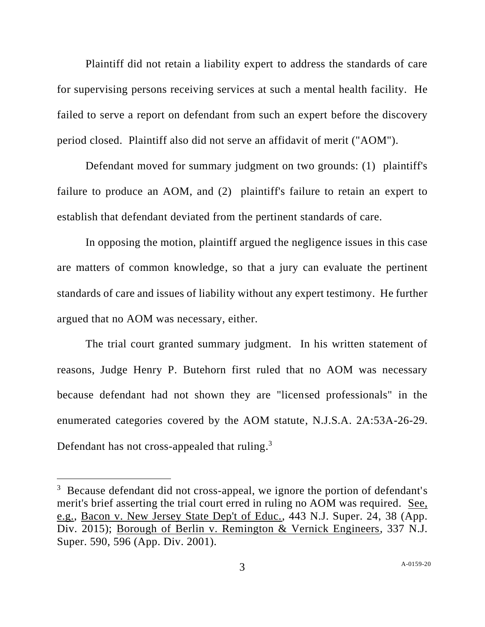Plaintiff did not retain a liability expert to address the standards of care for supervising persons receiving services at such a mental health facility. He failed to serve a report on defendant from such an expert before the discovery period closed. Plaintiff also did not serve an affidavit of merit ("AOM").

Defendant moved for summary judgment on two grounds: (1) plaintiff's failure to produce an AOM, and (2) plaintiff's failure to retain an expert to establish that defendant deviated from the pertinent standards of care.

In opposing the motion, plaintiff argued the negligence issues in this case are matters of common knowledge, so that a jury can evaluate the pertinent standards of care and issues of liability without any expert testimony. He further argued that no AOM was necessary, either.

The trial court granted summary judgment. In his written statement of reasons, Judge Henry P. Butehorn first ruled that no AOM was necessary because defendant had not shown they are "licensed professionals" in the enumerated categories covered by the AOM statute, N.J.S.A. 2A:53A-26-29. Defendant has not cross-appealed that ruling.<sup>3</sup>

 $3$  Because defendant did not cross-appeal, we ignore the portion of defendant's merit's brief asserting the trial court erred in ruling no AOM was required. See, e.g., Bacon v. New Jersey State Dep't of Educ., 443 N.J. Super. 24, 38 (App. Div. 2015); Borough of Berlin v. Remington & Vernick Engineers, 337 N.J. Super. 590, 596 (App. Div. 2001).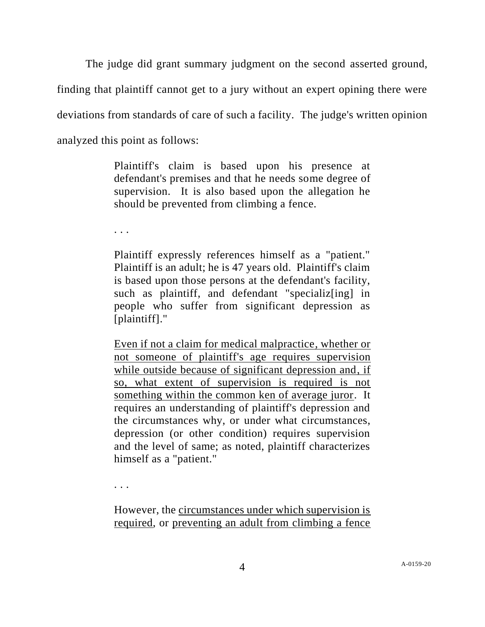The judge did grant summary judgment on the second asserted ground, finding that plaintiff cannot get to a jury without an expert opining there were deviations from standards of care of such a facility. The judge's written opinion analyzed this point as follows:

> Plaintiff's claim is based upon his presence at defendant's premises and that he needs some degree of supervision. It is also based upon the allegation he should be prevented from climbing a fence.

. . .

Plaintiff expressly references himself as a "patient." Plaintiff is an adult; he is 47 years old. Plaintiff's claim is based upon those persons at the defendant's facility, such as plaintiff, and defendant "specializes in people who suffer from significant depression as [plaintiff]."

Even if not a claim for medical malpractice, whether or not someone of plaintiff's age requires supervision while outside because of significant depression and, if so, what extent of supervision is required is not something within the common ken of average juror. It requires an understanding of plaintiff's depression and the circumstances why, or under what circumstances, depression (or other condition) requires supervision and the level of same; as noted, plaintiff characterizes himself as a "patient."

. . .

However, the circumstances under which supervision is required, or preventing an adult from climbing a fence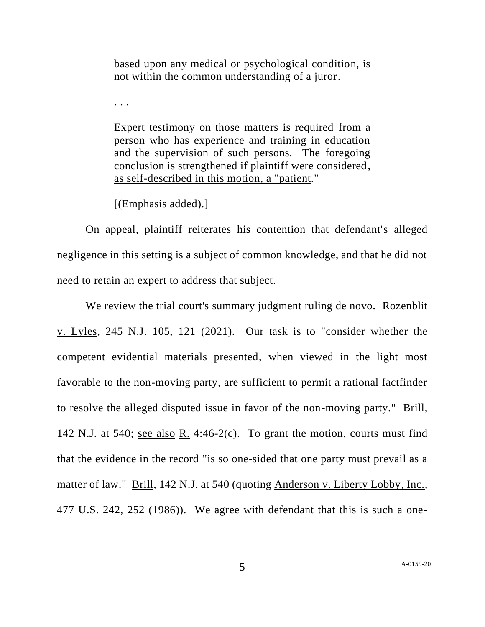based upon any medical or psychological condition, is not within the common understanding of a juror.

. . .

Expert testimony on those matters is required from a person who has experience and training in education and the supervision of such persons. The foregoing conclusion is strengthened if plaintiff were considered, as self-described in this motion, a "patient."

[(Emphasis added).]

On appeal, plaintiff reiterates his contention that defendant's alleged negligence in this setting is a subject of common knowledge, and that he did not need to retain an expert to address that subject.

We review the trial court's summary judgment ruling de novo. Rozenblit v. Lyles, 245 N.J. 105, 121 (2021). Our task is to "consider whether the competent evidential materials presented, when viewed in the light most favorable to the non-moving party, are sufficient to permit a rational factfinder to resolve the alleged disputed issue in favor of the non-moving party." Brill, 142 N.J. at 540; see also R. 4:46-2(c). To grant the motion, courts must find that the evidence in the record "is so one-sided that one party must prevail as a matter of law." Brill, 142 N.J. at 540 (quoting Anderson v. Liberty Lobby, Inc., 477 U.S. 242, 252 (1986)). We agree with defendant that this is such a one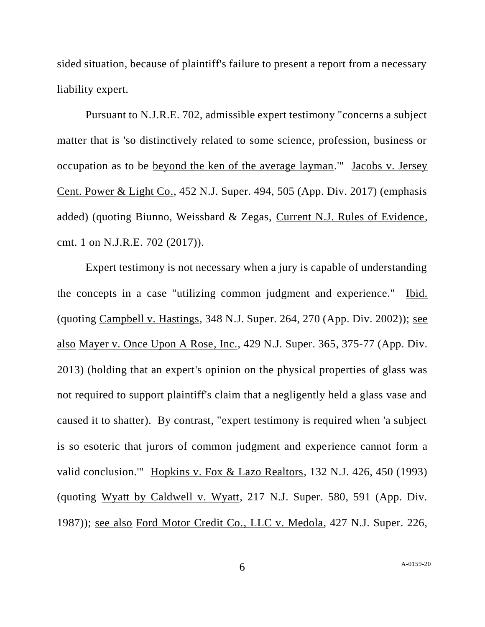sided situation, because of plaintiff's failure to present a report from a necessary liability expert.

Pursuant to N.J.R.E. 702, admissible expert testimony "concerns a subject matter that is 'so distinctively related to some science, profession, business or occupation as to be beyond the ken of the average layman.'" Jacobs v. Jersey Cent. Power & Light Co., 452 N.J. Super. 494, 505 (App. Div. 2017) (emphasis added) (quoting Biunno, Weissbard & Zegas, Current N.J. Rules of Evidence, cmt. 1 on N.J.R.E. 702 (2017)).

Expert testimony is not necessary when a jury is capable of understanding the concepts in a case "utilizing common judgment and experience." Ibid. (quoting Campbell v. Hastings, 348 N.J. Super. 264, 270 (App. Div. 2002)); see also Mayer v. Once Upon A Rose, Inc., 429 N.J. Super. 365, 375-77 (App. Div. 2013) (holding that an expert's opinion on the physical properties of glass was not required to support plaintiff's claim that a negligently held a glass vase and caused it to shatter). By contrast, "expert testimony is required when 'a subject is so esoteric that jurors of common judgment and experience cannot form a valid conclusion.'" Hopkins v. Fox & Lazo Realtors, 132 N.J. 426, 450 (1993) (quoting Wyatt by Caldwell v. Wyatt, 217 N.J. Super. 580, 591 (App. Div. 1987)); see also Ford Motor Credit Co., LLC v. Medola, 427 N.J. Super. 226,

6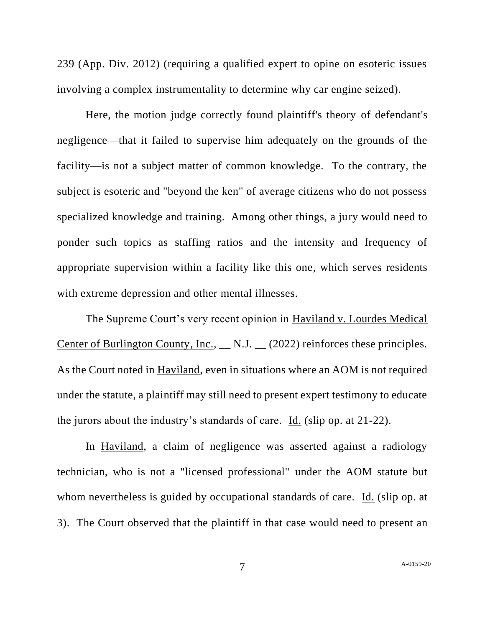239 (App. Div. 2012) (requiring a qualified expert to opine on esoteric issues involving a complex instrumentality to determine why car engine seized).

Here, the motion judge correctly found plaintiff's theory of defendant's negligence—that it failed to supervise him adequately on the grounds of the facility—is not a subject matter of common knowledge. To the contrary, the subject is esoteric and "beyond the ken" of average citizens who do not possess specialized knowledge and training. Among other things, a jury would need to ponder such topics as staffing ratios and the intensity and frequency of appropriate supervision within a facility like this one, which serves residents with extreme depression and other mental illnesses.

The Supreme Court's very recent opinion in Haviland v. Lourdes Medical Center of Burlington County, Inc., \_\_ N.J. \_\_ (2022) reinforces these principles. As the Court noted in Haviland, even in situations where an AOM is not required under the statute, a plaintiff may still need to present expert testimony to educate the jurors about the industry's standards of care. Id. (slip op. at 21-22).

In Haviland, a claim of negligence was asserted against a radiology technician, who is not a "licensed professional" under the AOM statute but whom nevertheless is guided by occupational standards of care. Id. (slip op. at 3). The Court observed that the plaintiff in that case would need to present an